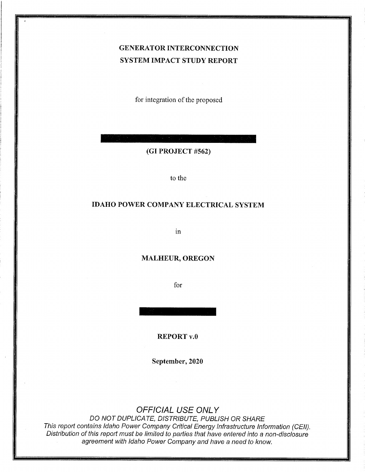# GENERATOR INTERCONNECTION SYSTEM IMPACT STUDY REPORT

for integration of the proposed

(GI PROJECT #562)

to the

### IDAHO POWER COMPANY ELECTRICAL SYSTEM

in

#### MALHEUR, OREGON

for

REPORT v.0

September, 2020

# OFFICIAL USE ONLY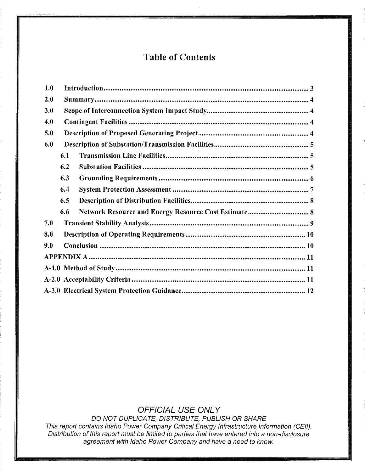# Table of Contents

| 1.0 |     |
|-----|-----|
| 2.0 |     |
| 3.0 |     |
| 4.0 |     |
| 5.0 |     |
| 6.0 |     |
|     | 6.1 |
|     | 6.2 |
|     | 6.3 |
|     | 6.4 |
|     | 6.5 |
|     | 6.6 |
| 7.0 |     |
| 8.0 |     |
| 9.0 |     |
|     |     |
|     |     |
|     |     |
|     |     |

# OFFICIAL USE ONLY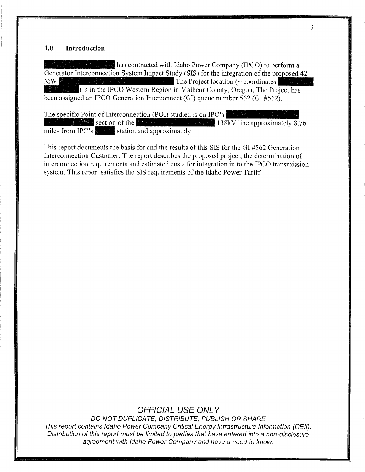#### $1.0$ Introduction

 $\mathbb{R}^n$  as contracted with Idaho Power Company (IPCO) to perform a Generator Interconnection System Impact Study (SIS) for the integration of the proposed 42 MW **Example 12 The Project location (** $\sim$  **coordinates)** is in the IPCO Western Region in Malheur County, Oregon. The Project has been assigned an IPCO Generation Interconnect (GI) queue number 562 (GI #562).

The specific Point of Interconnection (POI) studied is on IPC's section of the  $\frac{1}{2}$  section of the  $\frac{1}{2}$  section of the  $\frac{1}{2}$  section of the  $\frac{1}{2}$  section of the  $\frac{1}{2}$  section of the  $\frac{1}{2}$  section of the  $\frac{1}{2}$  section of the  $\frac{1}{2}$  section of the  $\frac{1}{$ miles from IPC's station and approximately

This report documents the basis for and the results of this SIS for the GI #562 Generation Interconnection Customer. The report describes the proposed project, the determination of interconnection requirements and estimated costs for integration in to the IPCO transmission system. This report satisfies the SIS requirements of the Idaho Power Tariff.

## **OFFICIAL USE ONLY**

DO NOT DUPLICATE, DISTRIBUTE, PUBLISH OR SHARE This report contains Idaho Power Company Critical Energy Infrastructure Information (CEII). Distribution of this report must be limited to parties that have entered into a non-disclosure agreement with Idaho Power Company and have a need to know.

3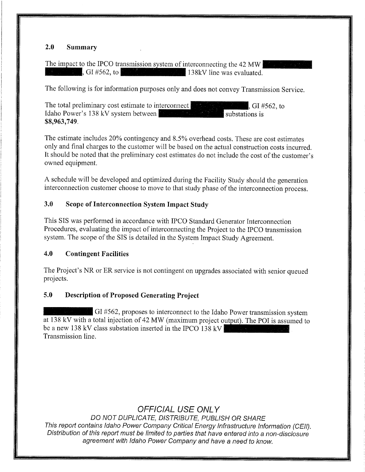## 2.O Summary

The impact to the IPCO transmission system of interconnecting the 42 MW  $\int$ , GI #562, to  $\int$   $\int$  138kV line was evaluated.

The following is for information purposes only and does not convey Transmission Service.

The total preliminary cost estimate to interconnect Idaho Power's 138 kV system between , GI #562, to substations is \$8,963,7 49.

The estimate includes 20% contingency and 8.5% overhead costs. These are cost estimates only and final charges to the customer will be based on the actual construction costs incurred. It should be noted that the preliminary cost estimates do not include the cost of the customer's owned equipment.

A schedule will be developed and optimized during the Facility Study should the generation interconnection customer choose to move to that study phase of the interconnection process.

## 3.O Scope of Interconnection System Impact Study

This SIS was performed in accordance with IPCO Standard Generator Interconnection Procedures, evaluating the impact of interconnecting the Project to the IPCO transmission system. The scope of the SIS is detailed in the System Impact Study Agreement.

### 4.O Contingent Facilities

The Project's NR or ER service is not contingent on upgrades associated with senior queued projects.

## 5.O Description of Proposed Generating Project

GI #562, proposes to interconnect to the Idaho Power transmission system at 138 kV with a total injection of 42 MW (maximum project output). The POI is assumed to be a new 138 kV class substation inserted in the IPCO 138 kV Transmission line.

# OFFICIAL USE ONLY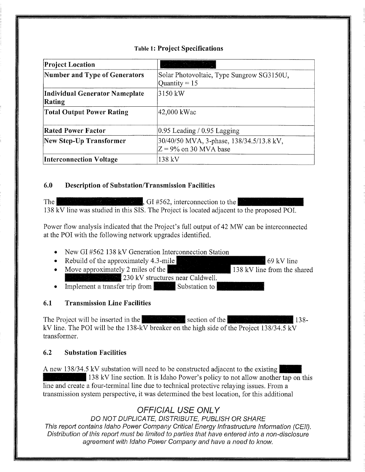### **Table 1: Project Specifications**

| <b>Project Location</b>                  |                                                                      |  |
|------------------------------------------|----------------------------------------------------------------------|--|
| Number and Type of Generators            | Solar Photovoltaic, Type Sungrow SG3150U,<br>Quantity = $15$         |  |
| Individual Generator Nameplate<br>Rating | 3150 kW                                                              |  |
| <b>Total Output Power Rating</b>         | 42,000 kWac                                                          |  |
| <b>Rated Power Factor</b>                | $0.95$ Leading / 0.95 Lagging                                        |  |
| New Step-Up Transformer                  | 30/40/50 MVA, 3-phase, 138/34.5/13.8 kV,<br>$Z = 9\%$ on 30 MVA base |  |
| <b>Interconnection Voltage</b>           | 138 kV                                                               |  |

#### 6.0 **Description of Substation/Transmission Facilities**

The l  $\Box$ , GI #562, interconnection to the 138 kV line was studied in this SIS. The Project is located adjacent to the proposed POI.

Power flow analysis indicated that the Project's full output of 42 MW can be interconnected at the POI with the following network upgrades identified.

- New GI #562 138 kV Generation Interconnection Station
- Rebuild of the approximately  $4.3$ -mile  $69$  kV line
- Move approximately 2 miles of the  $\blacksquare$ 138 kV line from the shared 230 kV structures near Caldwell.
- Implement a transfer trip from Substation to

#### $6.1$ **Transmission Line Facilities**

The Project will be inserted in the **Theorem in the section** of the **Theorem** section of the  $138$ kV line. The POI will be the 138-kV breaker on the high side of the Project  $138/34.5$  kV transformer.

#### $6.2$ **Substation Facilities**

A new 138/34.5 kV substation will need to be constructed adjacent to the existing 138 kV line section. It is Idaho Power's policy to not allow another tap on this line and create a four-terminal line due to technical protective relaying issues. From a transmission system perspective, it was determined the best location, for this additional

# **OFFICIAL USE ONLY**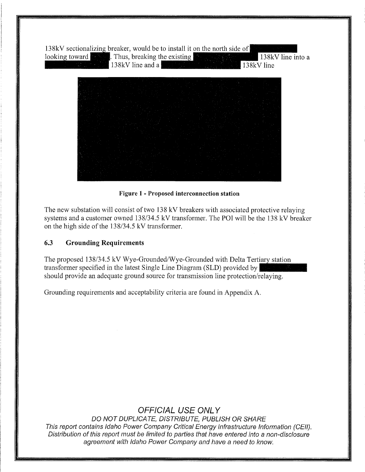

Figure 1- Proposed interconnection station

The new substation will consist of two 138 kV breakers with associated protective relaying systems and a customer owned 138/34.5 kV transformer. The POI will be the 138 kV breaker on the high side of the  $138/34.5$  kV transformer.

## 6.3 Grounding Requirements

The proposed 138/34.5 kV Wye-Grounded/Wye-Grounded with Delta Tertiary station transformer specified in the latest Single Line Diagram (SLD) provided by should provide an adequate ground source for transmission line protection/relaying.

Grounding requirements and acceptability criteria are found in Appendix A.

# OFFICIAL USE ONLY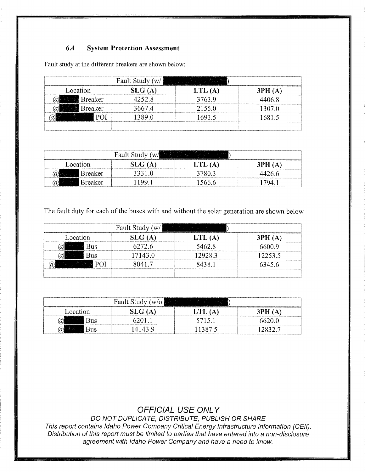# 6.4 System Protection Assessment

|          |                | Fault Study<br>(w/ |        |        |
|----------|----------------|--------------------|--------|--------|
| Location |                | بتعدال             |        |        |
|          | Breaker        | 152 X              | 3763 9 | -06.8  |
|          | <b>Breaker</b> | 667.4              | 2155.0 | .307.0 |
|          |                |                    | 93.5   |        |
|          |                |                    |        |        |

Fault study at the different breakers are shown below:

| ,,,,,,,,,,,,,,,,,,,,,,,,,,,,,,,,,,<br>Fault Stu                  |  |  |                                 |
|------------------------------------------------------------------|--|--|---------------------------------|
| ∟ocation<br><b><i><i><u>Protestantes de la prote</u></i></i></b> |  |  |                                 |
| <br><b>Breaker</b>                                               |  |  |                                 |
| Breaker                                                          |  |  | ,,,,,,,,,,,,,,,,,,,,,,,,,,,,,,, |

The fault duty for each of the buses with and without the solar generation are shown below

|          | Fault Study (w/ |        |        |
|----------|-----------------|--------|--------|
| cocation | il G (A         |        |        |
|          |                 | 5462 8 |        |
|          | 7143.0          | 2928.3 | 2253.5 |
|          |                 |        | 145 G  |
|          |                 |        |        |

|                 | Fault Study<br>(W/O) |            |
|-----------------|----------------------|------------|
| <b>Location</b> |                      | 3 P H<br>А |
| Bus             |                      |            |
| Bus             | 4143                 |            |

# OFFICIAL USE ONLY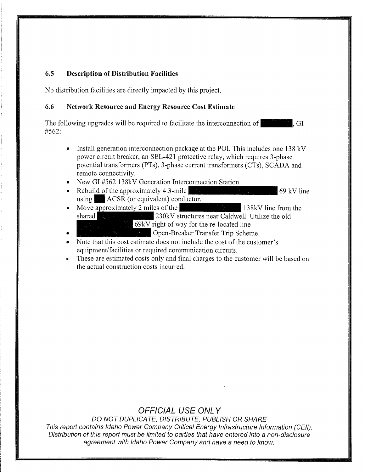### 6.5 Description of Distribution Facilities

No distribution facilities are directly impacted by this project.

### 6.6 Network Resource and Energy Resource Cost Estimate

The following upgrades will be required to facilitate the interconnection of  $\sim$ , GI #562:

- Install generation interconnection package at the POI. This includes one  $138 \text{ kV}$ power circuit breaker, an SEL-421 protective relay, which requires 3-phase potential transformers (PTs), 3-phase current transformers (CTs), SCADA and remote connectivity.
- New GI #562 138kV Generation Interconnection Station.
- Rebuild of the approximately 4.3-mile  $\frac{1}{2}$  contains the contact of the approximately 4.3-mile using  $\parallel$  ACSR (or equivalent) conductor.
- Move approximately 2 miles of the 138kV line from the shared 230kV structures near Caldwell. Utilize the old<br>69kV right of way for the re-located line
	- Den-Breaker Transfer Trip Scheme.

Note that this cost estimate does not include the cost of the customer's equipment/facilities or required communication circuits.

These are estimated costs only and final charges to the customer will be based on the actual construction costs incurred.

# OFFICIAL USE ONLY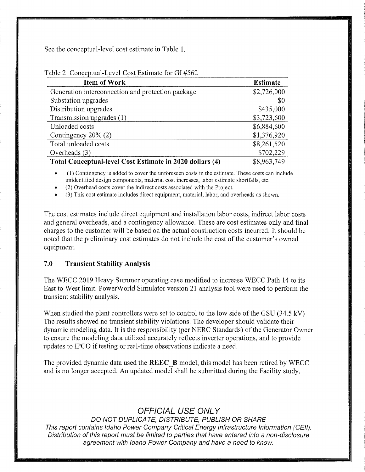See the conceptual-level cost estimate in Table 1.

| <b>Item of Work</b>                                      | <b>Estimate</b> |
|----------------------------------------------------------|-----------------|
| Generation interconnection and protection package        | \$2,726,000     |
| Substation upgrades                                      | -\$0            |
| Distribution upgrades                                    | \$435,000       |
| Transmission upgrades (1)                                | \$3,723,600     |
| Unloaded costs                                           | \$6,884,600     |
| Contingency $20\%$ (2)                                   | \$1,376,920     |
| Total unloaded costs                                     | \$8,261,520     |
| Overheads $(3)$                                          | \$702,229       |
| Total Conceptual-level Cost Estimate in 2020 dollars (4) | \$8,963,749     |

#### Table 2 Conceptual-Level Cost Estimate for GI #562

(1) Contingency is added to cover the unforeseen costs in the estimate. These costs can include unidentified design components, material cost increases, labor estimate shortfalls, etc.

(2) Overhead costs cover the indirect costs associated with the Project.

(3) This cost estimate includes direct equipment, material, labor, and overheads as shown.

The cost estimates include direct equipment and installation labor costs, indirect labor costs and general overheads, and a contingency allowance. These are cost estimates only and final charges to the customer will be based on the actual construction costs incurred. It should be noted that the preliminary cost estimates do not include the cost of the customer's owned equipment.

#### 7.0 Transient Stability Analysis

The WECC 2019 Heavy Summer operating case modified to increase WECC Path 14 to its East to West limit. PowerWorld Simulator version 21 analysis tool were used to perform the transient stability analysis.

When studied the plant controllers were set to control to the low side of the GSU (34.5 kV) The results showed no transient stability violations. The developer should validate their dynamic modeling data. It is the responsibility (per NERC Standards) of the Generator Owner to ensure the modeling data utilized accurately reflects inverter operations, and to provide updates to IPCO if testing or real-time observations indicate a need.

The provided dynamic data used the **REEC** B model, this model has been retired by WECC and is no longer accepted. An updated model shall be submitted during the Facility study.

# OFFICIAL USE ONLY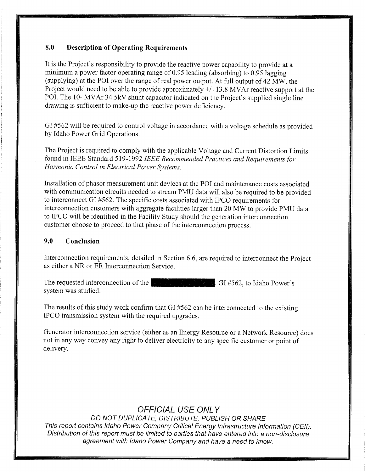## 8.O Description of Operating Requirements

It is the Project's responsibility to provide the reactive power capability to provide at a minimum a power factor operating range of O.95 leading (absorbing) to O.95 lagging (supplying) at the POI over the range of real power output. At full output of 42 MW, the Project would need to be able to provide approximately  $+/-13.8$  MVAr reactive support at the POI. The 10- MVAr 34.5kV shunt capacitor indicated on the Project's supplied single line drawing is sufficient to make-up the reactive power deficiency.

GI #562 will be required to control voltage in accordance with a voltage schedule as provided by Idaho Power Grid Operations.

The Project is required to comply with the applicable Voltage and Current Distortion Limits found in IEEE Standard 519-1992 IEEE Recommended Practices and Requirements for Harmonic Control in Electrical Power Systems.

Installation of phasor measurement unit devices at the POI and maintenance costs associated with communication circuits needed to stream PMU data will also be required to be provided to interconnect GI #562. The specific costs associated with IPCO requirements for interconnection customers with aggregate facilities larger than 20 MW to provide PMU data to IPCO will be identified in the Facility Study should the generation interconnection customer choose to proceed to that phase of the interconnection process.

### 9.O Conclusion

Interconnection requirements, detailed in Section 6.6, are required to interconnect the Project as either a NR or ER Interconnection Service.

The requested interconnection of the  $\mathbb{E}[\mathbb{E}_x]$  of  $\mathbb{E}[\mathbb{E}_x]$ , GI #562, to Idaho Power's system was studied.

The results of this study work confirm that  $GI \#562$  can be interconnected to the existing IPCO transmission system with the required upgrades.

Generator interconnection service (either as an Energy Resource or a Network Resource) does not in any way convey any right to deliver electricity to any specific customer or point of delivery.

# OFFICIAL USE ONLY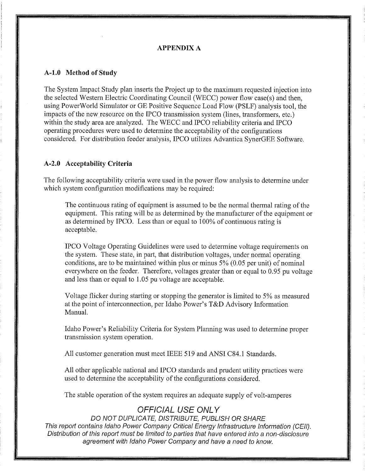#### APPENDIX A

#### A-1.O Method of Study

The System Impact Study plan inserts the Project up to the maximum requested injection into the selected Western Electric Coordinating Council (WECC) power flow case(s) and then, using PowerWorld Simulator or GE Positive Sequence Load Flow (PSLF) analysis tool, the impacts of the new resource on the IPCO transmission system (lines, transformers, etc.) within the study area are analyzed. The WECC and IPCO reliability criteria and IPCO operating procedures were used to determine the acceptability of the configurations considered. For distribution feeder analysis, IPCO utilizes Advantica SynerGEE Software.

\*

I

#### A-2.0 Acceptability Criteria

The following acceptability criteria were used in the power flow analysis to determine under which system configuration modifications may be required:

The continuous rating of equipment is assumed to be the normal thermal rating of the equipment. This rating will be as determined by the manufacturer of the equipment or as determined by IPCO. Less than or equal to  $100\%$  of continuous rating is acceptable.

IPCO Voltage Operating Guidelines were used to determine voltage requirements on the system. These state, in part, that distribution voltages, under normal operating conditions, are to be maintained within plus or minus  $5\%$  (0.05 per unit) of nominal everywhere on the feeder. Therefore, voltages greater than or equal to 0.95 pu voltage and less than or equal to 1.05 pu voltage are acceptable.

Voltage flicker during starting or stopping the generator is limited to 5% as measured at the point of interconnection, per Idaho Power's T&D Advisory Information Mamial.

Idaho Power's Reliability Criteria for System Planning was used to determine proper transmission system operation.

All customer generation must meet IEEE 519 and ANSI C84.1 Standards.

All other applicable national and IPCO standards and prudent utility practices were used to determine the acceptability of the configurations considered.

The stable operation of the system requires an adequate supply of volt-amperes

## OFFICIAL USE ONLY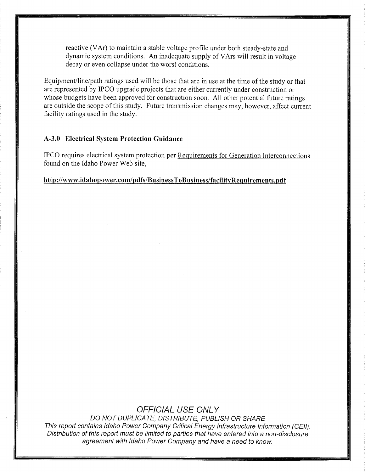reactive (VAr) to maintain a stable voltage profile under both steady-state and dynamic system conditions. An inadequate supply of VArs will result in voltage decay or even collapse under the worst conditions.

Equipment/line/path ratings used will be those that are in use at the time of the study or that are represented by IPCO upgrade projects that are either currently under construction or whose budgets have been approved for construction soon. All other potential future ratings are outside the scope of this study. Future transmission changes may, however, affect current facility ratings used in the study.

#### A-3.O Electrical System Protection Guidance

IPCO requires electrical system protection per Requirements for Generation Interconnections found on the Idaho Power Web site,

#### http://www.idahopower.com/pdfs/BusinessToBusiness/facilityRequirements.pdf

# OFFICIAL USE ONLY